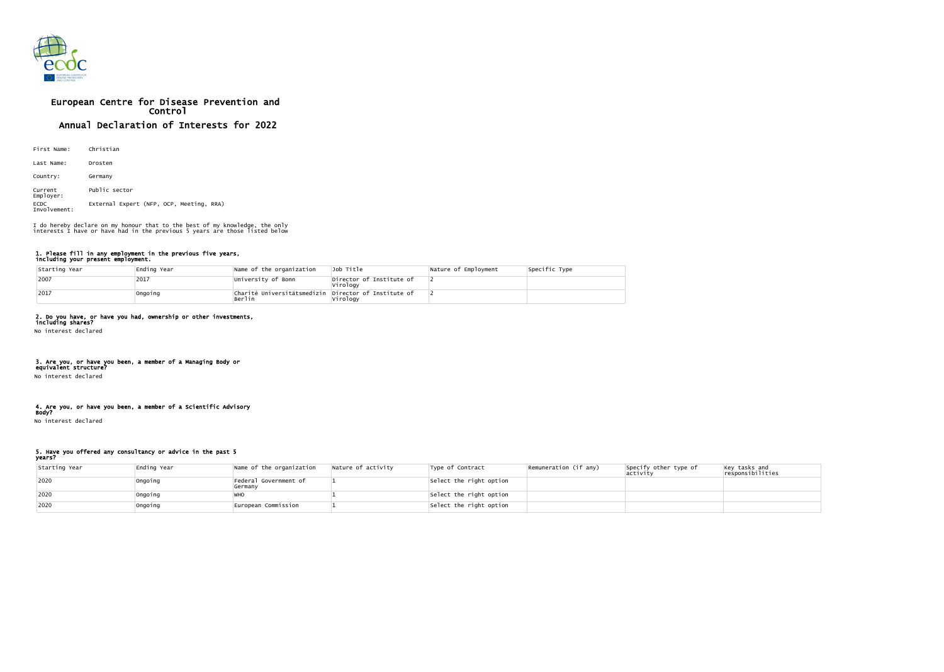

# European Centre for Disease Prevention and Control Annual Declaration of Interests for 2022

| First Name:                 | Christian                                |
|-----------------------------|------------------------------------------|
| Last Name:                  | Drosten                                  |
| Country:                    | Germany                                  |
| Current<br>Employer:        | Public sector                            |
| <b>ECDC</b><br>Involvement: | External Expert (NFP, OCP, Meeting, RRA) |

#### 1. Please fill in any employment in the previous five years, including your present employment.

| Starting Year | Ending Year | Name of the organization                                       | Job Title                            | Nature of Employment | Specific Type |
|---------------|-------------|----------------------------------------------------------------|--------------------------------------|----------------------|---------------|
| 2007          | 2017        | University of Bonn                                             | Director of Institute of<br>Virology |                      |               |
| 2017          | Ongoing     | Charité Universitätsmedizin Director of Institute of<br>Berlin | Virology                             |                      |               |

### 2. Do you have, or have you had, ownership or other investments,

including shares? No interest declared

### 3. Are you, or have you been, a member of a Managing Body or

equivalent structure? No interest declared

## 4. Are you, or have you been, a member of a Scientific Advisory

Body? No interest declared

5. Have you offered any consultancy or advice in the past 5 years?

| Starting Year | Ending Year | Name of the organization         | Nature of activity | Type of Contract        | Remuneration (if any) | Specify other type of<br> activity | $\left  \begin{matrix} \text{Key} \text{ tasks} \text{ and} \\ \text{responsibilities} \end{matrix} \right $ |
|---------------|-------------|----------------------------------|--------------------|-------------------------|-----------------------|------------------------------------|--------------------------------------------------------------------------------------------------------------|
| 2020          | Ongoing     | Federal Government of<br>Germany |                    | Select the right option |                       |                                    |                                                                                                              |
| 2020          | Ongoing     |                                  |                    | Select the right option |                       |                                    |                                                                                                              |
| 2020          | Ongoing     | European Commission              |                    | Select the right option |                       |                                    |                                                                                                              |

I do hereby declare on my honour that to the best of my knowledge, the only interests I have or have had in the previous 5 years are those listed below